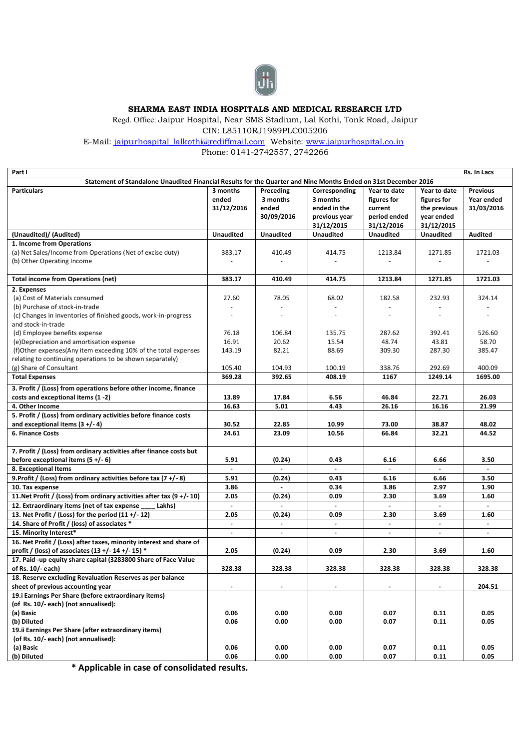

## **SHARMA EAST INDIA HOSPITALS AND MEDICAL RESEARCH LTD**

Regd. Office: Jaipur Hospital, Near SMS Stadium, Lal Kothi, Tonk Road, Jaipur

CIN: L85110RJ1989PLC005206

E-Mail: [jaipurhospital\\_lalkothi@rediffmail.com](mailto:jaipurhospital_lalkothi@rediffmail.com) Website: [www.jaipurhospital.co.in](http://www.jaipurhospital.co.in/) 

Phone: 0141-2742557, 2742266

| Part I                                                                                                          |                  |                  |                  |                  |                  | Rs. In Lacs     |
|-----------------------------------------------------------------------------------------------------------------|------------------|------------------|------------------|------------------|------------------|-----------------|
| Statement of Standalone Unaudited Financial Results for the Quarter and Nine Months Ended on 31st December 2016 |                  |                  |                  |                  |                  |                 |
| <b>Particulars</b>                                                                                              | 3 months         | Preceding        | Corresponding    | Year to date     | Year to date     | <b>Previous</b> |
|                                                                                                                 | ended            | 3 months         | 3 months         | figures for      | figures for      | Year ended      |
|                                                                                                                 | 31/12/2016       | ended            | ended in the     | current          | the previous     | 31/03/2016      |
|                                                                                                                 |                  | 30/09/2016       | previous year    | period ended     | year ended       |                 |
|                                                                                                                 |                  |                  | 31/12/2015       | 31/12/2016       | 31/12/2015       |                 |
| (Unaudited)/ (Audited)                                                                                          | <b>Unaudited</b> | <b>Unaudited</b> | <b>Unaudited</b> | <b>Unaudited</b> | <b>Unaudited</b> | <b>Audited</b>  |
| 1. Income from Operations                                                                                       |                  |                  |                  |                  |                  |                 |
| (a) Net Sales/Income from Operations (Net of excise duty)                                                       | 383.17           | 410.49           | 414.75           | 1213.84          | 1271.85          | 1721.03         |
| (b) Other Operating Income                                                                                      | ÷                |                  | $\sim$           |                  |                  |                 |
|                                                                                                                 |                  |                  |                  |                  |                  |                 |
| <b>Total income from Operations (net)</b>                                                                       | 383.17           | 410.49           | 414.75           | 1213.84          | 1271.85          | 1721.03         |
|                                                                                                                 |                  |                  |                  |                  |                  |                 |
| 2. Expenses                                                                                                     |                  |                  |                  |                  |                  |                 |
| (a) Cost of Materials consumed                                                                                  | 27.60            | 78.05            | 68.02            | 182.58           | 232.93           | 324.14          |
| (b) Purchase of stock-in-trade                                                                                  |                  |                  |                  |                  |                  |                 |
| (c) Changes in inventories of finished goods, work-in-progress                                                  | $\sim$           | $\sim$           | ä,               | ä,               |                  |                 |
| and stock-in-trade                                                                                              |                  |                  |                  |                  |                  |                 |
| (d) Employee benefits expense                                                                                   | 76.18            | 106.84           | 135.75           | 287.62           | 392.41           | 526.60          |
| (e) Depreciation and amortisation expense                                                                       | 16.91            | 20.62            | 15.54            | 48.74            | 43.81            | 58.70           |
| (f)Other expenses(Any item exceeding 10% of the total expenses                                                  | 143.19           | 82.21            | 88.69            | 309.30           | 287.30           | 385.47          |
| relating to continuing operations to be shown separately)                                                       |                  |                  |                  |                  |                  |                 |
| (g) Share of Consultant                                                                                         | 105.40           | 104.93           | 100.19           | 338.76           | 292.69           | 400.09          |
| <b>Total Expenses</b>                                                                                           | 369.28           | 392.65           | 408.19           | 1167             | 1249.14          | 1695.00         |
| 3. Profit / (Loss) from operations before other income, finance                                                 |                  |                  |                  |                  |                  |                 |
| costs and exceptional items (1 -2)                                                                              | 13.89            | 17.84            | 6.56             | 46.84            | 22.71            | 26.03           |
| 4. Other Income                                                                                                 | 16.63            | 5.01             | 4.43             | 26.16            | 16.16            | 21.99           |
| 5. Profit / (Loss) from ordinary activities before finance costs                                                |                  |                  |                  |                  |                  |                 |
| and exceptional items $(3 + (-4))$                                                                              | 30.52            | 22.85            | 10.99            | 73.00            | 38.87            | 48.02           |
| <b>6. Finance Costs</b>                                                                                         |                  | 23.09            | 10.56            | 66.84            | 32.21            | 44.52           |
|                                                                                                                 | 24.61            |                  |                  |                  |                  |                 |
|                                                                                                                 |                  |                  |                  |                  |                  |                 |
| 7. Profit / (Loss) from ordinary activities after finance costs but                                             |                  |                  |                  |                  |                  |                 |
| before exceptional items $(5 +/-6)$                                                                             | 5.91             | (0.24)           | 0.43             | 6.16             | 6.66             | 3.50            |
| 8. Exceptional Items                                                                                            | $\blacksquare$   | $\blacksquare$   | $\blacksquare$   | $\omega$         | $\sim$           | $\blacksquare$  |
| 9. Profit / (Loss) from ordinary activities before tax $(7 + (-8))$                                             | 5.91             | (0.24)           | 0.43             | 6.16             | 6.66             | 3.50            |
| 10. Tax expense                                                                                                 | 3.86             |                  | 0.34             | 3.86             | 2.97             | 1.90            |
| 11. Net Profit / (Loss) from ordinary activities after tax $(9 + / -10)$                                        | 2.05             | (0.24)           | 0.09             | 2.30             | 3.69             | 1.60            |
| 12. Extraordinary items (net of tax expense<br>Lakhs)                                                           | $\mathbf{r}$     |                  |                  |                  |                  |                 |
| 13. Net Profit / (Loss) for the period $(11 + (-12))$                                                           | 2.05             | (0.24)           | 0.09             | 2.30             | 3.69             | 1.60            |
| 14. Share of Profit / (loss) of associates *                                                                    | $\blacksquare$   | $\blacksquare$   | $\blacksquare$   | $\blacksquare$   | $\blacksquare$   | $\blacksquare$  |
| 15. Minority Interest*                                                                                          | $\sim$           | $\blacksquare$   | $\blacksquare$   | $\blacksquare$   | $\blacksquare$   | $\blacksquare$  |
| 16. Net Profit / (Loss) after taxes, minority interest and share of                                             |                  |                  |                  |                  |                  |                 |
| profit / (loss) of associates (13 +/- 14 +/- 15) *                                                              | 2.05             | (0.24)           | 0.09             | 2.30             | 3.69             | 1.60            |
| 17. Paid -up equity share capital (3283800 Share of Face Value                                                  |                  |                  |                  |                  |                  |                 |
| of Rs. 10/- each)                                                                                               | 328.38           | 328.38           | 328.38           | 328.38           | 328.38           | 328.38          |
| 18. Reserve excluding Revaluation Reserves as per balance                                                       |                  |                  |                  |                  |                  |                 |
| sheet of previous accounting year                                                                               | $\blacksquare$   |                  | $\blacksquare$   | $\blacksquare$   |                  | 204.51          |
| 19.i Earnings Per Share (before extraordinary items)                                                            |                  |                  |                  |                  |                  |                 |
| (of Rs. 10/- each) (not annualised):                                                                            |                  |                  |                  |                  |                  |                 |
|                                                                                                                 |                  |                  |                  |                  |                  | 0.05            |
| (a) Basic                                                                                                       | 0.06             | 0.00             | 0.00             | 0.07             | 0.11             |                 |
| (b) Diluted                                                                                                     | 0.06             | 0.00             | 0.00             | 0.07             | 0.11             | 0.05            |
| 19.ii Earnings Per Share (after extraordinary items)                                                            |                  |                  |                  |                  |                  |                 |
| (of Rs. 10/- each) (not annualised):                                                                            |                  |                  |                  |                  |                  |                 |
| (a) Basic                                                                                                       | 0.06             | 0.00             | 0.00             | 0.07             | 0.11             | 0.05            |
| (b) Diluted                                                                                                     | 0.06             | 0.00             | 0.00             | 0.07             | 0.11             | 0.05            |

**\* Applicable in case of consolidated results.**